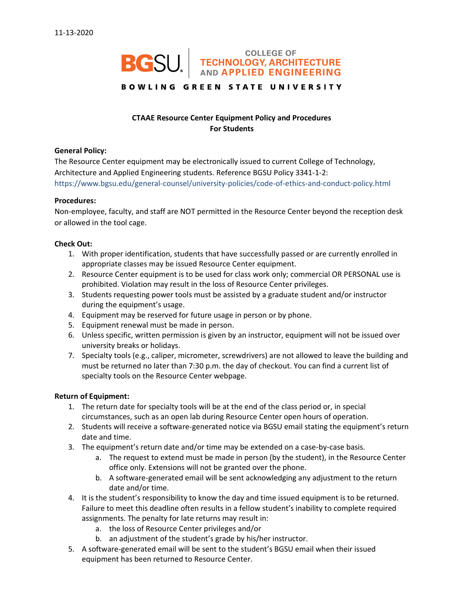# **BGSU.** TECHNOLOGY, ARCHITECTURE

## **BOWLING GREEN STATE UNIVERSITY**

# **CTAAE Resource Center Equipment Policy and Procedures For Students**

#### **General Policy:**

The Resource Center equipment may be electronically issued to current College of Technology, Architecture and Applied Engineering students. Reference BGSU Policy 3341-1-2: https://www.bgsu.edu/general-counsel/university-policies/code-of-ethics-and-conduct-policy.html

#### **Procedures:**

Non-employee, faculty, and staff are NOT permitted in the Resource Center beyond the reception desk or allowed in the tool cage.

#### **Check Out:**

- 1. With proper identification, students that have successfully passed or are currently enrolled in appropriate classes may be issued Resource Center equipment.
- 2. Resource Center equipment is to be used for class work only; commercial OR PERSONAL use is prohibited. Violation may result in the loss of Resource Center privileges.
- 3. Students requesting power tools must be assisted by a graduate student and/or instructor during the equipment's usage.
- 4. Equipment may be reserved for future usage in person or by phone.
- 5. Equipment renewal must be made in person.
- 6. Unless specific, written permission is given by an instructor, equipment will not be issued over university breaks or holidays.
- 7. Specialty tools (e.g., caliper, micrometer, screwdrivers) are not allowed to leave the building and must be returned no later than 7:30 p.m. the day of checkout. You can find a current list of specialty tools on the Resource Center webpage.

### **Return of Equipment:**

- 1. The return date for specialty tools will be at the end of the class period or, in special circumstances, such as an open lab during Resource Center open hours of operation.
- 2. Students will receive a software-generated notice via BGSU email stating the equipment's return date and time.
- 3. The equipment's return date and/or time may be extended on a case-by-case basis.
	- a. The request to extend must be made in person (by the student), in the Resource Center office only. Extensions will not be granted over the phone.
	- b. A software-generated email will be sent acknowledging any adjustment to the return date and/or time.
- 4. It is the student's responsibility to know the day and time issued equipment is to be returned. Failure to meet this deadline often results in a fellow student's inability to complete required assignments. The penalty for late returns may result in:
	- a. the loss of Resource Center privileges and/or
	- b. an adjustment of the student's grade by his/her instructor.
- 5. A software-generated email will be sent to the student's BGSU email when their issued equipment has been returned to Resource Center.